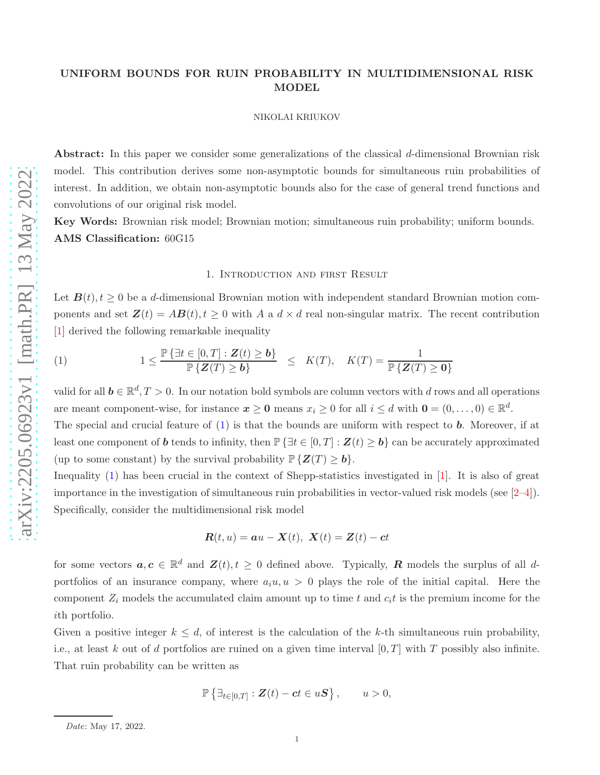# UNIFORM BOUNDS FOR RUIN PROBABILITY IN MULTIDIMENSIONAL RISK MODEL

#### NIKOLAI KRIUKOV

Abstract: In this paper we consider some generalizations of the classical d-dimensional Brownian risk model. This contribution derives some non-asymptotic bounds for simultaneous ruin probabilities of interest. In addition, we obtain non-asymptotic bounds also for the case of general trend functions and convolutions of our original risk model.

Key Words: Brownian risk model; Brownian motion; simultaneous ruin probability; uniform bounds. AMS Classification: 60G15

## 1. Introduction and first Result

Let  $B(t)$ ,  $t \geq 0$  be a d-dimensional Brownian motion with independent standard Brownian motion components and set  $\mathbf{Z}(t) = AB(t), t \geq 0$  with A a  $d \times d$  real non-singular matrix. The recent contribution [\[1](#page-9-0)] derived the following remarkable inequality

<span id="page-0-0"></span>(1) 
$$
1 \leq \frac{\mathbb{P}\left\{\exists t \in [0,T]: \mathbf{Z}(t) \geq \mathbf{b}\right\}}{\mathbb{P}\left\{\mathbf{Z}(T) \geq \mathbf{b}\right\}} \leq K(T), \quad K(T) = \frac{1}{\mathbb{P}\left\{\mathbf{Z}(T) \geq \mathbf{0}\right\}}
$$

valid for all  $b \in \mathbb{R}^d, T > 0$ . In our notation bold symbols are column vectors with d rows and all operations are meant component-wise, for instance  $x \ge 0$  means  $x_i \ge 0$  for all  $i \le d$  with  $0 = (0, \ldots, 0) \in \mathbb{R}^d$ .

The special and crucial feature of  $(1)$  is that the bounds are uniform with respect to **b**. Moreover, if at least one component of **b** tends to infinity, then  $\mathbb{P}\left\{\exists t \in [0,T] : Z(t) \geq b\right\}$  can be accurately approximated (up to some constant) by the survival probability  $\mathbb{P}\{Z(T)\geq b\}.$ 

Inequality [\(1\)](#page-0-0) has been crucial in the context of Shepp-statistics investigated in [\[1](#page-9-0)]. It is also of great importance in the investigation of simultaneous ruin probabilities in vector-valued risk models (see [\[2–](#page-9-1)4]). Specifically, consider the multidimensional risk model

$$
\mathbf{R}(t, u) = \mathbf{a}u - \mathbf{X}(t), \ \mathbf{X}(t) = \mathbf{Z}(t) - \mathbf{c}t
$$

for some vectors  $a, c \in \mathbb{R}^d$  and  $\mathbf{Z}(t), t \geq 0$  defined above. Typically, **R** models the surplus of all dportfolios of an insurance company, where  $a_i u, u > 0$  plays the role of the initial capital. Here the component  $Z_i$  models the accumulated claim amount up to time t and  $c_i t$  is the premium income for the ith portfolio.

Given a positive integer  $k \leq d$ , of interest is the calculation of the k-th simultaneous ruin probability, i.e., at least k out of d portfolios are ruined on a given time interval  $[0, T]$  with T possibly also infinite. That ruin probability can be written as

$$
\mathbb{P}\left\{\exists_{t\in[0,T]}:\mathbf{Z}(t)-ct\in u\mathbf{S}\right\},\qquad u>0,
$$

Date: May 17, 2022.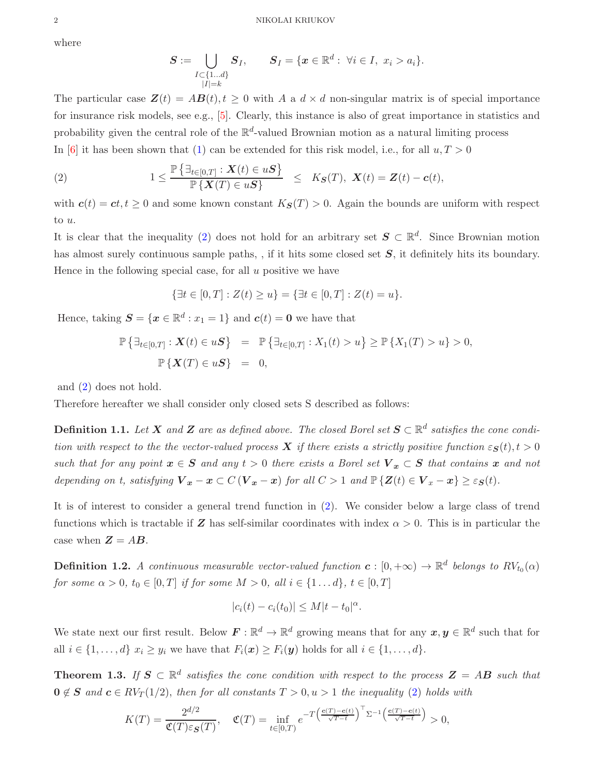where

$$
\boldsymbol{S} := \bigcup_{\substack{I \subset \{1...d\} \\ |I|=k}} \boldsymbol{S}_I, \qquad \boldsymbol{S}_I = \{ \boldsymbol{x} \in \mathbb{R}^d : \ \forall i \in I, \ x_i > a_i \}.
$$

The particular case  $\mathbf{Z}(t) = A\mathbf{B}(t), t \geq 0$  with A a  $d \times d$  non-singular matrix is of special importance for insurance risk models, see e.g., [\[5](#page-9-2)]. Clearly, this instance is also of great importance in statistics and probability given the central role of the  $\mathbb{R}^d$ -valued Brownian motion as a natural limiting process In [\[6](#page-9-3)] it has been shown that [\(1\)](#page-0-0) can be extended for this risk model, i.e., for all  $u, T > 0$ 

<span id="page-1-0"></span>(2) 
$$
1 \leq \frac{\mathbb{P}\left\{\exists_{t\in[0,T]} : \boldsymbol{X}(t) \in u\boldsymbol{S}\right\}}{\mathbb{P}\left\{\boldsymbol{X}(T) \in u\boldsymbol{S}\right\}} \leq K_{\boldsymbol{S}}(T), \boldsymbol{X}(t) = \boldsymbol{Z}(t) - \boldsymbol{c}(t),
$$

with  $c(t) = ct, t \ge 0$  and some known constant  $K_S(T) > 0$ . Again the bounds are uniform with respect to u.

It is clear that the inequality [\(2\)](#page-1-0) does not hold for an arbitrary set  $S \subset \mathbb{R}^d$ . Since Brownian motion has almost surely continuous sample paths, , if it hits some closed set  $S$ , it definitely hits its boundary. Hence in the following special case, for all  $u$  positive we have

$$
\{\exists t \in [0, T] : Z(t) \ge u\} = \{\exists t \in [0, T] : Z(t) = u\}.
$$

Hence, taking  $S = \{x \in \mathbb{R}^d : x_1 = 1\}$  and  $c(t) = 0$  we have that

$$
\mathbb{P}\left\{\exists_{t\in[0,T]} : \mathbf{X}(t) \in u\mathbf{S}\right\} = \mathbb{P}\left\{\exists_{t\in[0,T]} : X_1(t) > u\right\} \ge \mathbb{P}\left\{X_1(T) > u\right\} > 0,
$$
  

$$
\mathbb{P}\left\{\mathbf{X}(T) \in u\mathbf{S}\right\} = 0,
$$

and [\(2\)](#page-1-0) does not hold.

Therefore hereafter we shall consider only closed sets S described as follows:

<span id="page-1-2"></span>**Definition 1.1.** Let  $X$  and  $Z$  are as defined above. The closed Borel set  $S \subset \mathbb{R}^d$  satisfies the cone condi*tion with respect to the the vector-valued process* X *if there exists a strictly positive function*  $\epsilon_{\mathbf{S}}(t)$ ,  $t > 0$ *such that for any point*  $x \in S$  *and any*  $t > 0$  *there exists a Borel set*  $V_x \subset S$  *that contains* x *and not depending on t, satisfying*  $V_x - x \subset C(V_x - x)$  *for all*  $C > 1$  *and*  $\mathbb{P}\{Z(t) \in V_x - x\} \geq \varepsilon_S(t)$ *.* 

It is of interest to consider a general trend function in [\(2\)](#page-1-0). We consider below a large class of trend functions which is tractable if Z has self-similar coordinates with index  $\alpha > 0$ . This is in particular the case when  $Z = AB$ .

**Definition 1.2.** *A continuous measurable vector-valued function*  $\boldsymbol{c} : [0, +\infty) \to \mathbb{R}^d$  belongs to  $RV_{t_0}(\alpha)$ *for some*  $\alpha > 0$ *,*  $t_0 \in [0, T]$  *if for some*  $M > 0$ *, all*  $i \in \{1 \dots d\}$ *,*  $t \in [0, T]$ 

$$
|c_i(t) - c_i(t_0)| \leq M|t - t_0|^\alpha.
$$

We state next our first result. Below  $F: \mathbb{R}^d \to \mathbb{R}^d$  growing means that for any  $x, y \in \mathbb{R}^d$  such that for all  $i \in \{1, ..., d\}$   $x_i \geq y_i$  we have that  $F_i(\boldsymbol{x}) \geq F_i(\boldsymbol{y})$  holds for all  $i \in \{1, ..., d\}$ .

<span id="page-1-1"></span>**Theorem 1.3.** *If*  $S \subset \mathbb{R}^d$  satisfies the cone condition with respect to the process  $Z = AB$  such that  $0 \notin S$  and  $c \in RV_T(1/2)$ , then for all constants  $T > 0, u > 1$  the inequality [\(2\)](#page-1-0) holds with

$$
K(T) = \frac{2^{d/2}}{\mathfrak{C}(T)\varepsilon_{\mathcal{S}}(T)}, \quad \mathfrak{C}(T) = \inf_{t \in [0,T)} e^{-T\left(\frac{\mathbf{c}(T) - \mathbf{c}(t)}{\sqrt{T-t}}\right)^{\top} \Sigma^{-1}\left(\frac{\mathbf{c}(T) - \mathbf{c}(t)}{\sqrt{T-t}}\right)} > 0,
$$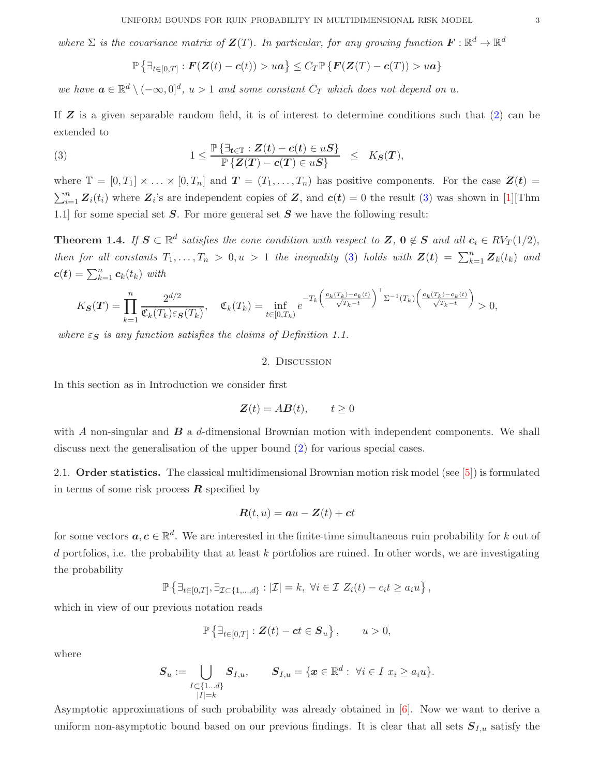where  $\Sigma$  is the covariance matrix of  $\mathbf{Z}(T)$ . In particular, for any growing function  $\mathbf{F}: \mathbb{R}^d \to \mathbb{R}^d$ 

<span id="page-2-0"></span>
$$
\mathbb{P}\left\{\exists_{t\in[0,T]}:\boldsymbol{F}(\boldsymbol{Z}(t)-\boldsymbol{c}(t))>u\boldsymbol{a}\right\}\leq C_{T}\mathbb{P}\left\{\boldsymbol{F}(\boldsymbol{Z}(T)-\boldsymbol{c}(T))>u\boldsymbol{a}\right\}
$$

*we have*  $a \in \mathbb{R}^d \setminus (-\infty, 0]^d$ ,  $u > 1$  *and some constant*  $C_T$  *which does not depend on*  $u$ .

If  $Z$  is a given separable random field, it is of interest to determine conditions such that  $(2)$  can be extended to

(3) 
$$
1 \leq \frac{\mathbb{P}\left\{\exists_{t \in \mathbb{T}} : Z(t) - c(t) \in uS\right\}}{\mathbb{P}\left\{Z(T) - c(T) \in uS\right\}} \leq K_S(T),
$$

where  $\mathbb{T} = [0, T_1] \times ... \times [0, T_n]$  and  $\mathbf{T} = (T_1, ..., T_n)$  has positive components. For the case  $\mathbf{Z}(t) =$  $\sum_{i=1}^{n} \mathbf{Z}_i(t_i)$  where  $\mathbf{Z}_i$ 's are independent copies of  $\mathbf{Z}$ , and  $\mathbf{c}(t) = 0$  the result [\(3\)](#page-2-0) was shown in [\[1](#page-9-0)][Thm 1.1] for some special set  $S$ . For more general set  $S$  we have the following result:

<span id="page-2-1"></span>**Theorem 1.4.** *If*  $S \subset \mathbb{R}^d$  satisfies the cone condition with respect to  $Z$ ,  $0 \notin S$  and all  $c_i \in RV_T(1/2)$ , *then for all constants*  $T_1, \ldots, T_n > 0, u > 1$  *the inequality* [\(3\)](#page-2-0) *holds with*  $\mathbf{Z}(t) = \sum_{k=1}^n \mathbf{Z}_k(t_k)$  *and*  $\boldsymbol{c}(t) = \sum_{k=1}^{n} c_k(t_k)$  with

$$
K_{\mathcal{S}}(\mathbf{T}) = \prod_{k=1}^n \frac{2^{d/2}}{\mathfrak{C}_k(T_k)\varepsilon_{\mathcal{S}}(T_k)}, \quad \mathfrak{C}_k(T_k) = \inf_{t \in [0,T_k)} e^{-T_k \left(\frac{\mathbf{c}_k(T_k) - \mathbf{c}_k(t)}{\sqrt{T_k - t}}\right)^{\top} \Sigma^{-1}(T_k) \left(\frac{\mathbf{c}_k(T_k) - \mathbf{c}_k(t)}{\sqrt{T_k - t}}\right)} > 0,
$$

*where*  $\varepsilon$ *s <i>is any function satisfies the claims of Definition 1.1.* 

## 2. Discussion

In this section as in Introduction we consider first

$$
\mathbf{Z}(t) = A\mathbf{B}(t), \qquad t \ge 0
$$

with A non-singular and  $\bf{B}$  a d-dimensional Brownian motion with independent components. We shall discuss next the generalisation of the upper bound [\(2\)](#page-1-0) for various special cases.

2.1. Order statistics. The classical multidimensional Brownian motion risk model (see [\[5](#page-9-2)]) is formulated in terms of some risk process  $R$  specified by

$$
\boldsymbol{R}(t, u) = \boldsymbol{a}u - \boldsymbol{Z}(t) + \boldsymbol{c}t
$$

for some vectors  $a, c \in \mathbb{R}^d$ . We are interested in the finite-time simultaneous ruin probability for k out of d portfolios, i.e. the probability that at least k portfolios are ruined. In other words, we are investigating the probability

$$
\mathbb{P}\left\{\exists_{t\in[0,T]},\exists_{\mathcal{I}\subset\{1,\ldots,d\}}:\vert\mathcal{I}\vert=k,\ \forall i\in\mathcal{I}\ Z_i(t)-c_it\geq a_iu\right\},\
$$

which in view of our previous notation reads

$$
\mathbb{P}\left\{\exists_{t\in[0,T]}:\boldsymbol{Z}(t)-\boldsymbol{c} t\in\boldsymbol{S}_u\right\},\qquad u>0,
$$

where

$$
\boldsymbol{S}_u := \bigcup_{\substack{I \subset \{1...d\} \\ |I| = k}} \boldsymbol{S}_{I,u}, \qquad \boldsymbol{S}_{I,u} = \{\boldsymbol{x} \in \mathbb{R}^d: \ \forall i \in I \ x_i \geq a_i u\}.
$$

Asymptotic approximations of such probability was already obtained in [\[6\]](#page-9-3). Now we want to derive a uniform non-asymptotic bound based on our previous findings. It is clear that all sets  $S_{I,u}$  satisfy the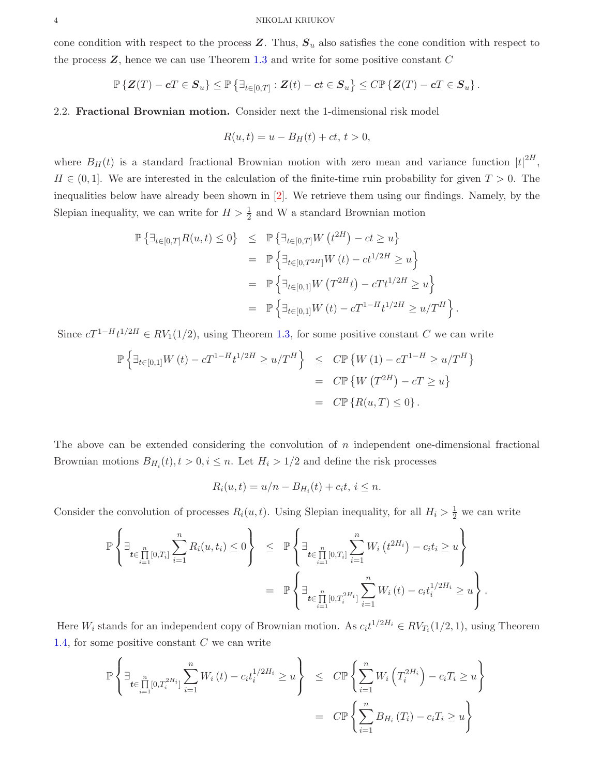cone condition with respect to the process  $Z$ . Thus,  $S_u$  also satisfies the cone condition with respect to the process  $Z$ , hence we can use Theorem [1.3](#page-1-1) and write for some positive constant  $C$ 

$$
\mathbb{P}\left\{ \boldsymbol{Z}(T) - \boldsymbol{c} T \in \boldsymbol{S}_u \right\} \leq \mathbb{P}\left\{ \exists_{t \in [0,T]} : \boldsymbol{Z}(t) - \boldsymbol{c} t \in \boldsymbol{S}_u \right\} \leq C \mathbb{P}\left\{ \boldsymbol{Z}(T) - \boldsymbol{c} T \in \boldsymbol{S}_u \right\}.
$$

## 2.2. Fractional Brownian motion. Consider next the 1-dimensional risk model

$$
R(u, t) = u - B_H(t) + ct, t > 0,
$$

where  $B_H(t)$  is a standard fractional Brownian motion with zero mean and variance function  $|t|^{2H}$ ,  $H \in (0, 1]$ . We are interested in the calculation of the finite-time ruin probability for given  $T > 0$ . The inequalities below have already been shown in [\[2\]](#page-9-1). We retrieve them using our findings. Namely, by the Slepian inequality, we can write for  $H > \frac{1}{2}$  and W a standard Brownian motion

$$
\mathbb{P}\left\{\exists_{t\in[0,T]}R(u,t)\leq 0\right\} \leq \mathbb{P}\left\{\exists_{t\in[0,T]}W(t^{2H})-ct\geq u\right\}
$$
  
\n
$$
= \mathbb{P}\left\{\exists_{t\in[0,T^{2H}]}W(t)-ct^{1/2H}\geq u\right\}
$$
  
\n
$$
= \mathbb{P}\left\{\exists_{t\in[0,1]}W(T^{2H}t)-cTt^{1/2H}\geq u\right\}
$$
  
\n
$$
= \mathbb{P}\left\{\exists_{t\in[0,1]}W(t)-cT^{1-H}t^{1/2H}\geq u/T^H\right\}.
$$

Since  $cT^{1-H}t^{1/2H} \in RV_1(1/2)$ , using Theorem [1.3,](#page-1-1) for some positive constant C we can write

$$
\mathbb{P}\left\{\exists_{t\in[0,1]}W(t) - cT^{1-H}t^{1/2H} \ge u/T^H\right\} \le C\mathbb{P}\left\{W(1) - cT^{1-H} \ge u/T^H\right\}
$$
  
=  $C\mathbb{P}\left\{W(T^{2H}) - cT \ge u\right\}$   
=  $C\mathbb{P}\left\{R(u,T) \le 0\right\}.$ 

The above can be extended considering the convolution of n independent one-dimensional fractional Brownian motions  $B_{H_i}(t)$ ,  $t > 0$ ,  $i \leq n$ . Let  $H_i > 1/2$  and define the risk processes

$$
R_i(u,t) = u/n - B_{H_i}(t) + c_i t, i \leq n.
$$

Consider the convolution of processes  $R_i(u, t)$ . Using Slepian inequality, for all  $H_i > \frac{1}{2}$  we can write

$$
\mathbb{P}\left\{\exists_{\substack{n \\ \neq i, n\neq i}} \sum_{i=1}^{n} R_i(u, t_i) \leq 0\right\} \leq \mathbb{P}\left\{\exists_{\substack{n \\ \neq i, n\neq i}} \sum_{i=1}^{n} W_i(t^{2H_i}) - c_i t_i \geq u\right\}
$$
  

$$
= \mathbb{P}\left\{\exists_{\substack{n \\ \neq i, n\neq i}} \sum_{i=1}^{n} W_i(t) - c_i t_i^{1/2H_i} \geq u\right\}.
$$

Here  $W_i$  stands for an independent copy of Brownian motion. As  $c_i t^{1/2H_i} \in RV_{T_i}(1/2, 1)$ , using Theorem [1.4,](#page-2-1) for some positive constant  $C$  we can write

$$
\mathbb{P}\left\{\exists_{\substack{n \in \prod_{i=1}^{n}[0,T_i^{2H_i}]}} \sum_{i=1}^{n} W_i(t) - c_i t_i^{1/2H_i} \ge u\right\} \le C \mathbb{P}\left\{\sum_{i=1}^{n} W_i\left(T_i^{2H_i}\right) - c_i T_i \ge u\right\}
$$

$$
= C \mathbb{P}\left\{\sum_{i=1}^{n} B_{H_i}\left(T_i\right) - c_i T_i \ge u\right\}
$$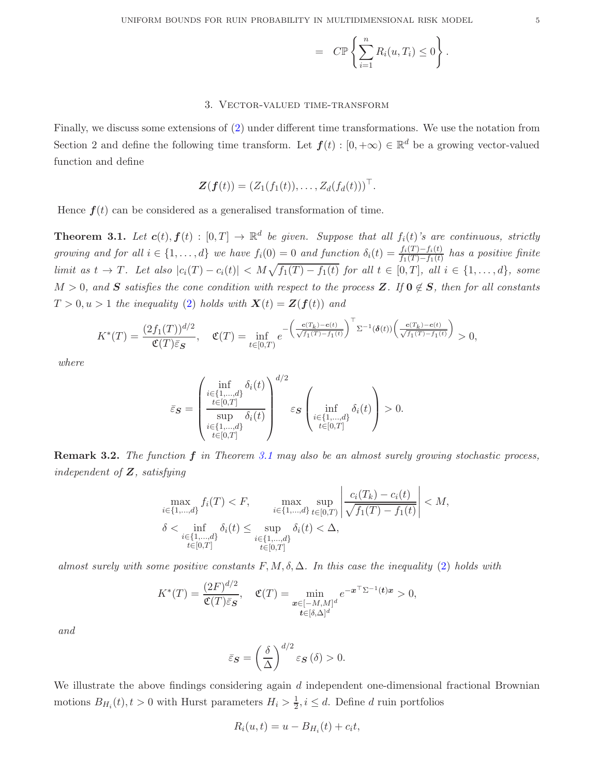$$
= C \mathbb{P} \left\{ \sum_{i=1}^n R_i(u, T_i) \leq 0 \right\}.
$$

## 3. Vector-valued time-transform

Finally, we discuss some extensions of [\(2\)](#page-1-0) under different time transformations. We use the notation from Section 2 and define the following time transform. Let  $f(t) : [0, +\infty) \in \mathbb{R}^d$  be a growing vector-valued function and define

$$
\mathbf{Z}(\boldsymbol{f}(t)) = (Z_1(f_1(t)), \ldots, Z_d(f_d(t)))^\top.
$$

Hence  $f(t)$  can be considered as a generalised transformation of time.

<span id="page-4-0"></span>**Theorem 3.1.** Let  $c(t)$ ,  $f(t) : [0, T] \to \mathbb{R}^d$  be given. Suppose that all  $f_i(t)$ 's are continuous, strictly *growing and for all*  $i \in \{1, ..., d\}$  *we have*  $f_i(0) = 0$  *and function*  $\delta_i(t) = \frac{f_i(T) - f_i(t)}{f_1(T) - f_1(t)}$  *has a positive finite limit as*  $t \to T$ *. Let also*  $|c_i(T) - c_i(t)| < M\sqrt{f_1(T) - f_1(t)}$  *for all*  $t \in [0, T]$ *, all*  $i \in \{1, ..., d\}$ *, some*  $M > 0$ , and S satisfies the cone condition with respect to the process Z. If  $0 \notin S$ , then for all constants  $T > 0, u > 1$  the inequality [\(2\)](#page-1-0) holds with  $\mathbf{X}(t) = \mathbf{Z}(\mathbf{f}(t))$  and

$$
K^*(T) = \frac{(2f_1(T))^{d/2}}{\mathfrak{C}(T)\bar{\varepsilon}_S}, \quad \mathfrak{C}(T) = \inf_{t \in [0,T)} e^{-\left(\frac{c(T_k) - c(t)}{\sqrt{f_1(T) - f_1(t)}}\right)^{\top} \Sigma^{-1}(\delta(t)) \left(\frac{c(T_k) - c(t)}{\sqrt{f_1(T) - f_1(t)}}\right)} > 0,
$$

*where*

$$
\bar{\varepsilon}_{\pmb{S}} = \begin{pmatrix} \inf_{\substack{i \in \{1,\ldots,d\} \\ t \in [0,T]}} \delta_i(t) \\ \sup_{\substack{i \in \{1,\ldots,d\} \\ t \in [0,T]}} \delta_i(t) \end{pmatrix}^{d/2} \varepsilon_{\pmb{S}} \begin{pmatrix} \inf_{\substack{i \in \{1,\ldots,d\} \\ t \in [0,T]}} \delta_i(t) \end{pmatrix} > 0.
$$

Remark 3.2. *The function* f *in Theorem [3.1](#page-4-0) may also be an almost surely growing stochastic process, independent of* Z*, satisfying*

$$
\max_{i \in \{1, \dots, d\}} f_i(T) < F, \quad \max_{i \in \{1, \dots, d\}} \sup_{t \in [0, T)} \left| \frac{c_i(T_k) - c_i(t)}{\sqrt{f_1(T) - f_1(t)}} \right| < M, \\
\delta < \inf_{\substack{i \in \{1, \dots, d\} \\ t \in [0, T]}} \delta_i(t) \le \sup_{\substack{i \in \{1, \dots, d\} \\ t \in [0, T]}} \delta_i(t) < \Delta,
$$

*almost surely with some positive constants*  $F, M, \delta, \Delta$ . In this case the inequality [\(2\)](#page-1-0) holds with

$$
K^*(T) = \frac{(2F)^{d/2}}{\mathfrak{C}(T)\bar{\varepsilon}_S}, \quad \mathfrak{C}(T) = \min_{\substack{\boldsymbol{x} \in [-M,M]^d \\ \boldsymbol{t} \in [\delta,\Delta]^d}} e^{-\boldsymbol{x}^\top \Sigma^{-1}(\boldsymbol{t}) \boldsymbol{x}} > 0,
$$

*and*

$$
\bar{\varepsilon}_{\mathbf{S}} = \left(\frac{\delta}{\Delta}\right)^{d/2} \varepsilon_{\mathbf{S}}\left(\delta\right) > 0.
$$

We illustrate the above findings considering again  $d$  independent one-dimensional fractional Brownian motions  $B_{H_i}(t)$ ,  $t > 0$  with Hurst parameters  $H_i > \frac{1}{2}$ ,  $i \leq d$ . Define d ruin portfolios

$$
R_i(u,t) = u - B_{H_i}(t) + c_i t,
$$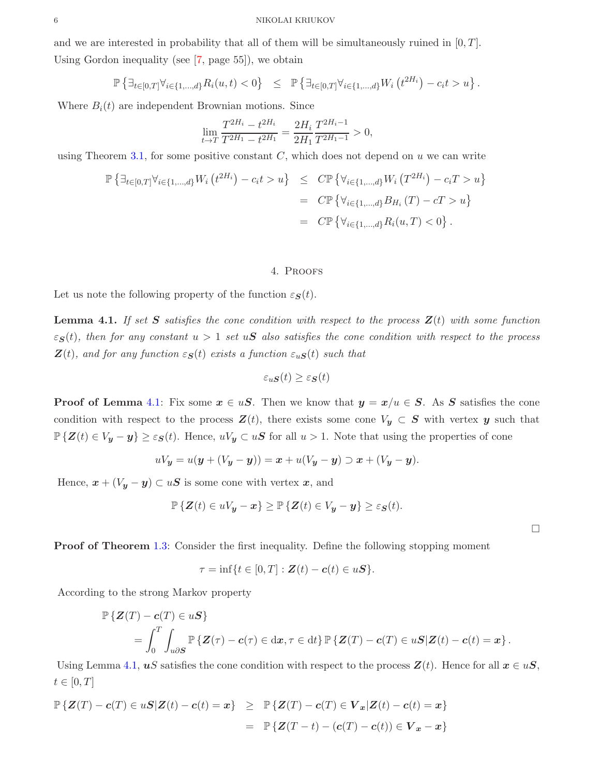and we are interested in probability that all of them will be simultaneously ruined in  $[0, T]$ . Using Gordon inequality (see [\[7](#page-9-4), page 55]), we obtain

$$
\mathbb{P}\left\{\exists_{t\in[0,T]}\forall_{i\in\{1,\dots,d\}}R_i(u,t)<0\right\}\ \leq\ \mathbb{P}\left\{\exists_{t\in[0,T]}\forall_{i\in\{1,\dots,d\}}W_i\left(t^{2H_i}\right)-c_it>u\right\}.
$$

Where  $B_i(t)$  are independent Brownian motions. Since

$$
\lim_{t \to T} \frac{T^{2H_i} - t^{2H_i}}{T^{2H_1} - t^{2H_1}} = \frac{2H_i}{2H_1} \frac{T^{2H_i - 1}}{T^{2H_1 - 1}} > 0,
$$

using Theorem [3.1,](#page-4-0) for some positive constant  $C$ , which does not depend on  $u$  we can write

$$
\mathbb{P}\left\{\exists_{t\in[0,T]}\forall_{i\in\{1,\dots,d\}}W_{i}\left(t^{2H_{i}}\right)-c_{i}t>u\right\} \leq C\mathbb{P}\left\{\forall_{i\in\{1,\dots,d\}}W_{i}\left(T^{2H_{i}}\right)-c_{i}T>u\right\}
$$
\n
$$
= C\mathbb{P}\left\{\forall_{i\in\{1,\dots,d\}}B_{H_{i}}\left(T\right)-cT>u\right\}
$$
\n
$$
= C\mathbb{P}\left\{\forall_{i\in\{1,\dots,d\}}B_{i}(u,T)<0\right\}.
$$

#### 4. Proofs

Let us note the following property of the function  $\varepsilon_{\mathbf{S}}(t)$ .

<span id="page-5-0"></span>**Lemma 4.1.** If set S satisfies the cone condition with respect to the process  $Z(t)$  with some function  $\varepsilon_{\mathcal{S}}(t)$ , then for any constant  $u > 1$  set  $u\mathcal{S}$  also satisfies the cone condition with respect to the process  $\mathbf{Z}(t)$ *, and for any function*  $\varepsilon_{\mathbf{S}}(t)$  *exists a function*  $\varepsilon_{u\mathbf{S}}(t)$  *such that* 

$$
\varepsilon_u \mathbf{S}(t) \ge \varepsilon \mathbf{S}(t)
$$

**Proof of Lemma** [4.1:](#page-5-0) Fix some  $x \in uS$ . Then we know that  $y = x/u \in S$ . As S satisfies the cone condition with respect to the process  $\mathbf{Z}(t)$ , there exists some cone  $V_y \subset \mathbf{S}$  with vertex y such that  $\mathbb{P}\{\mathbf{Z}(t) \in V_{\mathbf{y}} - \mathbf{y}\}\geq \varepsilon_{\mathbf{S}}(t)$ . Hence,  $uV_{\mathbf{y}} \subset u\mathbf{S}$  for all  $u > 1$ . Note that using the properties of cone

$$
uV_{y} = u(y + (V_{y} - y)) = x + u(V_{y} - y) \supset x + (V_{y} - y).
$$

Hence,  $\mathbf{x} + (V_{\mathbf{y}} - \mathbf{y}) \subset u\mathbf{S}$  is some cone with vertex  $\mathbf{x}$ , and

$$
\mathbb{P}\left\{\mathbf{Z}(t) \in uV_{\mathbf{y}} - \mathbf{x}\right\} \geq \mathbb{P}\left\{\mathbf{Z}(t) \in V_{\mathbf{y}} - \mathbf{y}\right\} \geq \varepsilon_{\mathbf{S}}(t).
$$

**Proof of Theorem [1.3:](#page-1-1)** Consider the first inequality. Define the following stopping moment

$$
\tau = \inf\{t \in [0,T] : \mathbf{Z}(t) - \mathbf{c}(t) \in u\mathbf{S}\}.
$$

According to the strong Markov property

$$
\mathbb{P}\left\{ \mathbf{Z}(T) - \mathbf{c}(T) \in u\mathbf{S} \right\}
$$
  
= 
$$
\int_0^T \int_{u\partial S} \mathbb{P}\left\{ \mathbf{Z}(\tau) - \mathbf{c}(\tau) \in dx, \tau \in dt \right\} \mathbb{P}\left\{ \mathbf{Z}(T) - \mathbf{c}(T) \in u\mathbf{S} | \mathbf{Z}(t) - \mathbf{c}(t) = \mathbf{x} \right\}.
$$

Using Lemma [4.1,](#page-5-0) uS satisfies the cone condition with respect to the process  $Z(t)$ . Hence for all  $x \in uS$ ,  $t\in[0,T]$ 

$$
\mathbb{P}\left\{ \mathbf{Z}(T) - \mathbf{c}(T) \in u\mathbf{S} | \mathbf{Z}(t) - \mathbf{c}(t) = \mathbf{x} \right\} \geq \mathbb{P}\left\{ \mathbf{Z}(T) - \mathbf{c}(T) \in \mathbf{V}_{\mathbf{x}} | \mathbf{Z}(t) - \mathbf{c}(t) = \mathbf{x} \right\}
$$
\n
$$
= \mathbb{P}\left\{ \mathbf{Z}(T - t) - (\mathbf{c}(T) - \mathbf{c}(t)) \in \mathbf{V}_{\mathbf{x}} - \mathbf{x} \right\}
$$

 $\Box$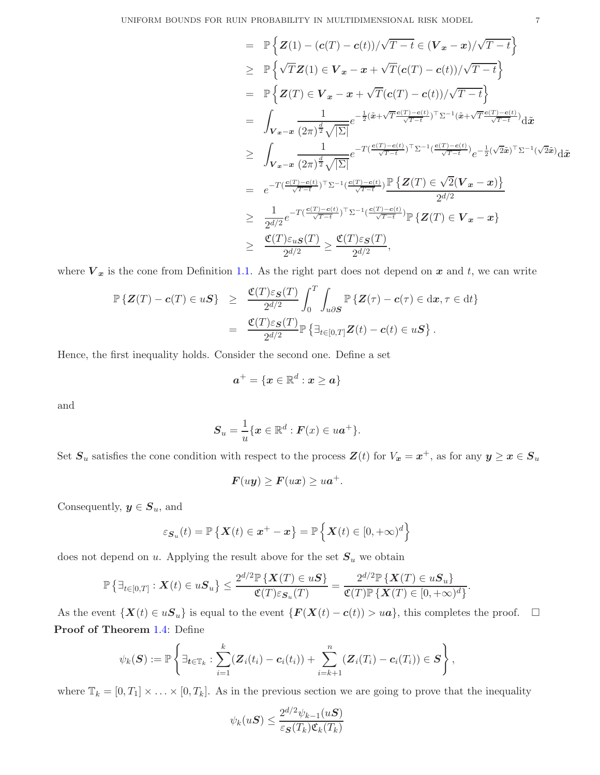$$
\begin{array}{lcl} &=& \mathbb{P}\left\{ {\mathbf{Z}(1)-(c(T)-c(t))}/{\sqrt{T-t}}\in ({\mathbf{V}}_{{\boldsymbol{x}}}-{\boldsymbol{x}})/\sqrt{T-t}\right\} \\ & \geq & \mathbb{P}\left\{ \sqrt{T}{\mathbf{Z}(1)\in {\mathbf{V}}_{{\boldsymbol{x}}}-{\boldsymbol{x}}+\sqrt{T}(c(T)-c(t))/\sqrt{T-t}\right\} \\ &=& \mathbb{P}\left\{ {\mathbf{Z}(T)\in {\mathbf{V}}_{{\boldsymbol{x}}}-{\boldsymbol{x}}+\sqrt{T}(c(T)-c(t))/\sqrt{T-t}\right\} \\ &=& \int_{{\mathbf{V}}_{{\boldsymbol{x}}}-{\boldsymbol{x}}}\frac{1}{(2\pi)^{\frac{d}{2}}\sqrt{|\Sigma|}}e^{-\frac{1}{2}(\tilde{{\boldsymbol{x}}}\!+\!\sqrt{T}\frac{c(T)-c(t)}{\sqrt{T-t}})\top\Sigma^{-1}(\tilde{{\boldsymbol{x}}}\!+\!\sqrt{T}\frac{c(T)-c(t)}{\sqrt{T-t}})}{\mathrm{d}\tilde{{\boldsymbol{x}}}}\\ & \geq & \int_{{\mathbf{V}}_{{\boldsymbol{x}}}-{\boldsymbol{x}}}\frac{1}{(2\pi)^{\frac{d}{2}}\sqrt{|\Sigma|}}e^{-T(\frac{c(T)-c(t)}{\sqrt{T-t}})\top\Sigma^{-1}(\frac{c(T)-c(t)}{\sqrt{T-t}})}e^{-\frac{1}{2}(\sqrt{2}\tilde{{\boldsymbol{x}}})\top\Sigma^{-1}(\sqrt{2}\tilde{{\boldsymbol{x}}})}\mathrm{d}\tilde{{\boldsymbol{x}}}\\ &=& e^{-T(\frac{c(T)-c(t)}{\sqrt{T-t}})\top\Sigma^{-1}(\frac{c(T)-c(t)}{\sqrt{T-t}})\frac{\mathbb{P}\left\{ {\mathbf{Z}(T)\in \sqrt{2}({\mathbf{V}}_{{\boldsymbol{x}}}-{\boldsymbol{x}})\right\} }{2^{d/2}}\\ & \geq & \frac{1}{2^{d/2}}e^{-T(\frac{c(T)-c(t)}{\sqrt{T-t}})\top\Sigma^{-1}(\frac{c(T)-c(t)}{\sqrt{T-t}})\mathbb{P}\left\{ {\mathbf{Z}(T)\in {\mathbf{V}}_{{\boldsymbol{x}}}-{\boldsymbol{x}}\right\} }{2^{d/2}}, \\ & \geq & \frac{\mathfrak{C}(T)\varepsilon_{u} S(T)}{2^{d/2}}\geq \frac{\mathfrak{C}(T)\varepsilon_{S}(T)}{2^{d/2}}, \end{array}
$$

where  $V_x$  is the cone from Definition [1.1.](#page-1-2) As the right part does not depend on x and t, we can write

$$
\mathbb{P}\left\{Z(T) - c(T) \in uS\right\} \geq \frac{\mathfrak{C}(T)\varepsilon_S(T)}{2^{d/2}} \int_0^T \int_{u\partial S} \mathbb{P}\left\{Z(\tau) - c(\tau) \in dx, \tau \in dt\right\}
$$

$$
= \frac{\mathfrak{C}(T)\varepsilon_S(T)}{2^{d/2}} \mathbb{P}\left\{\exists_{t \in [0,T]} Z(t) - c(t) \in uS\right\}.
$$

Hence, the first inequality holds. Consider the second one. Define a set

$$
\bm{a}^+ = \{\bm{x} \in \mathbb{R}^d: \bm{x} \geq \bm{a}\}
$$

and

$$
\boldsymbol{S}_u = \frac{1}{u} \{ \boldsymbol{x} \in \mathbb{R}^d : \boldsymbol{F}(x) \in u \boldsymbol{a}^+ \}.
$$

Set  $S_u$  satisfies the cone condition with respect to the process  $\mathbf{Z}(t)$  for  $V_x = x^+$ , as for any  $y \ge x \in S_u$ 

$$
F(uy) \ge F(ux) \ge ua^+.
$$

Consequently,  $y \in S_u$ , and

$$
\varepsilon_{\mathcal{S}_u}(t) = \mathbb{P}\left\{\mathcal{X}(t) \in \mathbf{x}^+ - \mathbf{x}\right\} = \mathbb{P}\left\{\mathcal{X}(t) \in [0, +\infty)^d\right\}
$$

does not depend on  $u$ . Applying the result above for the set  $S_u$  we obtain

$$
\mathbb{P}\left\{\exists_{t\in[0,T]}: \boldsymbol{X}(t)\in u\boldsymbol{S}_u\right\} \leq \frac{2^{d/2}\mathbb{P}\left\{\boldsymbol{X}(T)\in u\boldsymbol{S}\right\}}{\mathfrak{C}(T)\varepsilon_{\boldsymbol{S}_u}(T)} = \frac{2^{d/2}\mathbb{P}\left\{\boldsymbol{X}(T)\in u\boldsymbol{S}_u\right\}}{\mathfrak{C}(T)\mathbb{P}\left\{\boldsymbol{X}(T)\in[0,+\infty)^d\right\}}.
$$

As the event  $\{X(t) \in uS_u\}$  is equal to the event  $\{F(X(t) - c(t)) > u\}$ , this completes the proof.  $\Box$ Proof of Theorem [1.4:](#page-2-1) Define

$$
\psi_k(\mathbf{S}) := \mathbb{P}\left\{\exists_{\boldsymbol{t}\in\mathbb{T}_k}:\sum_{i=1}^k(\boldsymbol{Z}_i(t_i)-\boldsymbol{c}_i(t_i))+\sum_{i=k+1}^n(\boldsymbol{Z}_i(T_i)-\boldsymbol{c}_i(T_i))\in\mathbf{S}\right\},\,
$$

where  $\mathbb{T}_k = [0, T_1] \times \ldots \times [0, T_k]$ . As in the previous section we are going to prove that the inequality

$$
\psi_k(u\boldsymbol{S}) \le \frac{2^{d/2}\psi_{k-1}(u\boldsymbol{S})}{\varepsilon_{\boldsymbol{S}}(T_k)\mathfrak{C}_k(T_k)}
$$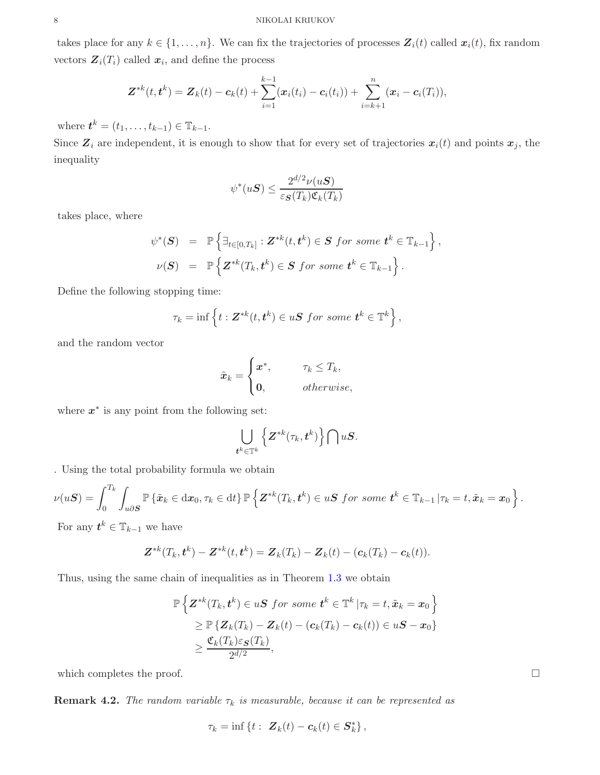takes place for any  $k \in \{1, ..., n\}$ . We can fix the trajectories of processes  $\mathbf{Z}_i(t)$  called  $\mathbf{x}_i(t)$ , fix random vectors  $\mathbf{Z}_i(T_i)$  called  $\mathbf{x}_i$ , and define the process

$$
\mathbf{Z}^{*k}(t,\mathbf{t}^k)=\mathbf{Z}_k(t)-\mathbf{c}_k(t)+\sum_{i=1}^{k-1}(\mathbf{x}_i(t_i)-\mathbf{c}_i(t_i))+\sum_{i=k+1}^{n}(\mathbf{x}_i-\mathbf{c}_i(T_i)),
$$

where  $t^{k} = (t_1, ..., t_{k-1}) \in \mathbb{T}_{k-1}$ .

Since  $\mathbf{Z}_i$  are independent, it is enough to show that for every set of trajectories  $\mathbf{x}_i(t)$  and points  $\mathbf{x}_j$ , the inequality

$$
\psi^*(u\boldsymbol{S}) \le \frac{2^{d/2}\nu(u\boldsymbol{S})}{\varepsilon_{\boldsymbol{S}}(T_k)\mathfrak{C}_k(T_k)}
$$

takes place, where

$$
\psi^*(\mathbf{S}) = \mathbb{P}\left\{\exists_{t \in [0,T_k]} : \mathbf{Z}^{*k}(t,\mathbf{t}^k) \in \mathbf{S} \text{ for some } \mathbf{t}^k \in \mathbb{T}_{k-1}\right\},
$$
  

$$
\nu(\mathbf{S}) = \mathbb{P}\left\{\mathbf{Z}^{*k}(T_k,\mathbf{t}^k) \in \mathbf{S} \text{ for some } \mathbf{t}^k \in \mathbb{T}_{k-1}\right\}.
$$

Define the following stopping time:

$$
\tau_k = \inf \left\{ t : \mathbf{Z}^{*k}(t, \mathbf{t}^k) \in u\mathbf{S} \text{ for some } \mathbf{t}^k \in \mathbb{T}^k \right\},\
$$

and the random vector

$$
\tilde{\boldsymbol{x}}_k = \begin{cases} \boldsymbol{x}^*, & \text{if } \pi_k \leq T_k, \\ \mathbf{0}, & \text{otherwise,} \end{cases}
$$

where  $x^*$  is any point from the following set:

$$
\bigcup_{\boldsymbol{t}^k\in\mathbb{T}^k}\left\{\boldsymbol{Z}^{*k}(\tau_{k},\boldsymbol{t}^k)\right\}\bigcap u\boldsymbol{S}.
$$

. Using the total probability formula we obtain

$$
\nu(u\mathbf{S})=\int_0^{T_k}\int_{u\partial\mathbf{S}}\mathbb{P}\left\{\tilde{\boldsymbol{x}}_k\in\mathrm{d}\boldsymbol{x}_0,\tau_k\in\mathrm{d}t\right\}\mathbb{P}\left\{\mathbf{Z}^{*k}(T_k,t^k)\in u\mathbf{S}\,\,\text{for some}\,\,t^k\in\mathbb{T}_{k-1}\,\vert \tau_k=t,\tilde{\boldsymbol{x}}_k=\boldsymbol{x}_0\right\}.
$$

For any  $t^k \in \mathbb{T}_{k-1}$  we have

$$
\mathbf{Z}^{*k}(T_k,\mathbf{t}^k) - \mathbf{Z}^{*k}(t,\mathbf{t}^k) = \mathbf{Z}_k(T_k) - \mathbf{Z}_k(t) - (\mathbf{c}_k(T_k) - \mathbf{c}_k(t)).
$$

Thus, using the same chain of inequalities as in Theorem [1.3](#page-1-1) we obtain

$$
\mathbb{P}\left\{\mathbf{Z}^{*k}(T_k, t^k) \in u\mathbf{S} \text{ for some } t^k \in \mathbb{T}^k | \tau_k = t, \tilde{\mathbf{x}}_k = \mathbf{x}_0\right\}
$$
  
\n
$$
\geq \mathbb{P}\left\{\mathbf{Z}_k(T_k) - \mathbf{Z}_k(t) - (\mathbf{c}_k(T_k) - \mathbf{c}_k(t)) \in u\mathbf{S} - \mathbf{x}_0\right\}
$$
  
\n
$$
\geq \frac{\mathfrak{C}_k(T_k)\varepsilon_S(T_k)}{2^{d/2}},
$$

which completes the proof.  $\Box$ 

**Remark 4.2.** *The random variable*  $\tau_k$  *is measurable, because it can be represented as* 

$$
\tau_k = \inf \left\{ t : \ Z_k(t) - c_k(t) \in S_k^* \right\},\
$$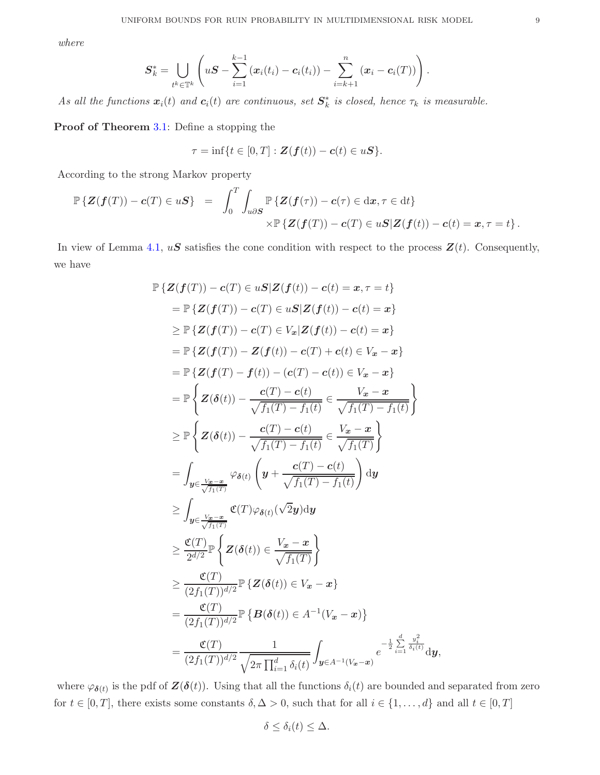*where*

$$
S_k^* = \bigcup_{t^k \in \mathbb{T}^k} \left( uS - \sum_{i=1}^{k-1} (x_i(t_i) - c_i(t_i)) - \sum_{i=k+1}^n (x_i - c_i(T)) \right).
$$

*As all the functions*  $\boldsymbol{x}_i(t)$  *and*  $\boldsymbol{c}_i(t)$  *are continuous, set*  $\boldsymbol{S}_k^*$  *is closed, hence*  $\tau_k$  *is measurable.* 

Proof of Theorem [3.1:](#page-4-0) Define a stopping the

$$
\tau = \inf\{t \in [0,T] : \mathbf{Z}(\mathbf{f}(t)) - \mathbf{c}(t) \in u\mathbf{S}\}.
$$

According to the strong Markov property

$$
\mathbb{P}\left\{Z(\boldsymbol{f}(T)) - \boldsymbol{c}(T) \in u\boldsymbol{S}\right\} = \int_0^T \int_{u\partial S} \mathbb{P}\left\{Z(\boldsymbol{f}(\tau)) - \boldsymbol{c}(\tau) \in dx, \tau \in dt\right\} \times \mathbb{P}\left\{Z(\boldsymbol{f}(T)) - \boldsymbol{c}(T) \in u\boldsymbol{S}|Z(\boldsymbol{f}(t)) - \boldsymbol{c}(t) = x, \tau = t\right\}.
$$

In view of Lemma [4.1,](#page-5-0)  $uS$  satisfies the cone condition with respect to the process  $\mathbf{Z}(t)$ . Consequently, we have

$$
\mathbb{P}\left\{Z(f(T)) - c(T) \in uS|Z(f(t)) - c(t) = x, \tau = t\right\}
$$
\n
$$
= \mathbb{P}\left\{Z(f(T)) - c(T) \in uS|Z(f(t)) - c(t) = x\right\}
$$
\n
$$
\geq \mathbb{P}\left\{Z(f(T)) - c(T) \in V_x|Z(f(t)) - c(t) = x\right\}
$$
\n
$$
= \mathbb{P}\left\{Z(f(T)) - Z(f(t)) - c(T) + c(t) \in V_x - x\right\}
$$
\n
$$
= \mathbb{P}\left\{Z(f(T) - f(t)) - (c(T) - c(t)) \in V_x - x\right\}
$$
\n
$$
= \mathbb{P}\left\{Z(\delta(t)) - \frac{c(T) - c(t)}{\sqrt{f_1(T) - f_1(t)}} \in \frac{V_x - x}{\sqrt{f_1(T) - f_1(t)}}\right\}
$$
\n
$$
\geq \mathbb{P}\left\{Z(\delta(t)) - \frac{c(T) - c(t)}{\sqrt{f_1(T) - f_1(t)}} \in \frac{V_x - x}{\sqrt{f_1(T)}}\right\}
$$
\n
$$
= \int_{y \in \frac{V_x - x}{\sqrt{f_1(T)}}} \varphi_{\delta(t)} \left(y + \frac{c(T) - c(t)}{\sqrt{f_1(T) - f_1(t)}}\right) dy
$$
\n
$$
\geq \int_{y \in \frac{V_x - x}{\sqrt{f_1(T)}}} \mathfrak{C}(T)\varphi_{\delta(t)}(\sqrt{2}y) dy
$$
\n
$$
\geq \frac{\mathfrak{C}(T)}{2^{d/2}} \mathbb{P}\left\{Z(\delta(t)) \in \frac{V_x - x}{\sqrt{f_1(T)}}\right\}
$$
\n
$$
\geq \frac{\mathfrak{C}(T)}{(2f_1(T))^{d/2}} \mathbb{P}\left\{Z(\delta(t)) \in V_x - x\right\}
$$
\n
$$
= \frac{\mathfrak{C}(T)}{(2f_1(T))^{d/2}} \mathbb{P}\left\{B(\delta(t)) \in A^{-1}(V_x - x)\right\}
$$
\n
$$
= \frac{\mathfrak{C}(T)}{(2f_1(T))^{d/2}} \frac{1}{\sqrt{2\pi \prod_{i=1}^d \delta_i(t)}} \int_{y \in A^{-1}(
$$

where  $\varphi_{\bm{\delta}(t)}$  is the pdf of  $\bm{Z}(\bm{\delta}(t))$ . Using that all the functions  $\delta_i(t)$  are bounded and separated from zero for  $t \in [0, T]$ , there exists some constants  $\delta, \Delta > 0$ , such that for all  $i \in \{1, ..., d\}$  and all  $t \in [0, T]$ 

$$
\delta \leq \delta_i(t) \leq \Delta.
$$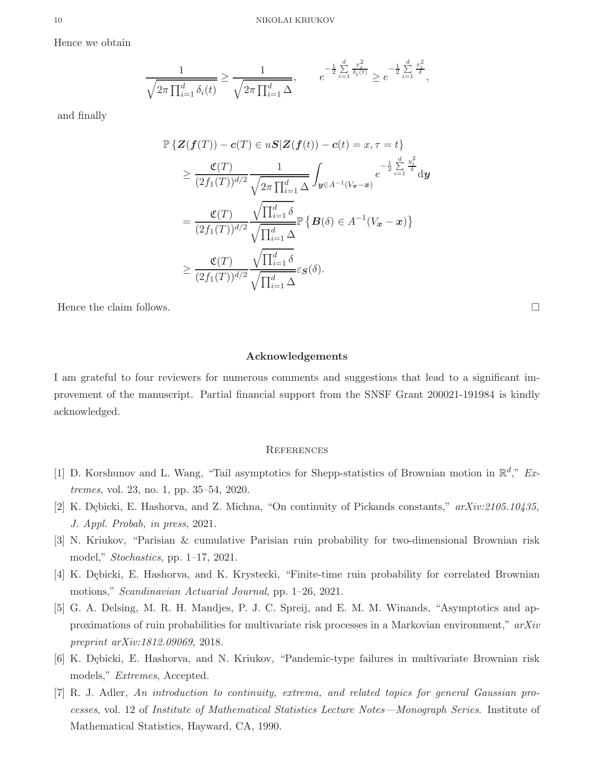Hence we obtain

$$
\frac{1}{\sqrt{2\pi \prod_{i=1}^d \delta_i(t)}} \ge \frac{1}{\sqrt{2\pi \prod_{i=1}^d \Delta}}, \qquad e^{-\frac{1}{2} \sum_{i=1}^d \frac{x_i^2}{\delta_i(t)}} \ge e^{-\frac{1}{2} \sum_{i=1}^d \frac{x_i^2}{\delta}},
$$

and finally

$$
\mathbb{P}\left\{\mathbf{Z}(\mathbf{f}(T)) - \mathbf{c}(T) \in u\mathbf{S} | \mathbf{Z}(\mathbf{f}(t)) - \mathbf{c}(t) = x, \tau = t\right\}
$$
\n
$$
\geq \frac{\mathfrak{C}(T)}{(2f_1(T))^{d/2}} \frac{1}{\sqrt{2\pi \prod_{i=1}^d \Delta}} \int_{\mathbf{y} \in A^{-1}(V_{\mathbf{x}} - \mathbf{x})} e^{-\frac{1}{2} \sum_{i=1}^d \frac{y_i^2}{\delta}} \mathrm{d}\mathbf{y}
$$
\n
$$
= \frac{\mathfrak{C}(T)}{(2f_1(T))^{d/2}} \frac{\sqrt{\prod_{i=1}^d \delta}}{\sqrt{\prod_{i=1}^d \Delta}} \mathbb{P}\left\{\mathbf{B}(\delta) \in A^{-1}(V_{\mathbf{x}} - \mathbf{x})\right\}
$$
\n
$$
\geq \frac{\mathfrak{C}(T)}{(2f_1(T))^{d/2}} \frac{\sqrt{\prod_{i=1}^d \delta}}{\sqrt{\prod_{i=1}^d \Delta}} \varepsilon_{\mathbf{S}}(\delta).
$$

Hence the claim follows.  $\Box$ 

# Acknowledgements

I am grateful to four reviewers for numerous comments and suggestions that lead to a significant improvement of the manuscript. Partial financial support from the SNSF Grant 200021-191984 is kindly acknowledged.

#### **REFERENCES**

- <span id="page-9-0"></span>[1] D. Korshunov and L. Wang, "Tail asymptotics for Shepp-statistics of Brownian motion in  $\mathbb{R}^d$ ," *Extremes*, vol. 23, no. 1, pp. 35–54, 2020.
- <span id="page-9-1"></span>[2] K. D¸ebicki, E. Hashorva, and Z. Michna, "On continuity of Pickands constants," *arXiv:2105.10435, J. Appl. Probab, in press*, 2021.
- [3] N. Kriukov, "Parisian & cumulative Parisian ruin probability for two-dimensional Brownian risk model," *Stochastics*, pp. 1–17, 2021.
- [4] K. Dębicki, E. Hashorva, and K. Krystecki, "Finite-time ruin probability for correlated Brownian motions," *Scandinavian Actuarial Journal*, pp. 1–26, 2021.
- <span id="page-9-2"></span>[5] G. A. Delsing, M. R. H. Mandjes, P. J. C. Spreij, and E. M. M. Winands, "Asymptotics and approximations of ruin probabilities for multivariate risk processes in a Markovian environment," *arXiv preprint arXiv:1812.09069*, 2018.
- <span id="page-9-3"></span>[6] K. Dębicki, E. Hashorva, and N. Kriukov, "Pandemic-type failures in multivariate Brownian risk models," *Extremes*, Accepted.
- <span id="page-9-4"></span>[7] R. J. Adler, *An introduction to continuity, extrema, and related topics for general Gaussian processes*, vol. 12 of *Institute of Mathematical Statistics Lecture Notes—Monograph Series*. Institute of Mathematical Statistics, Hayward, CA, 1990.